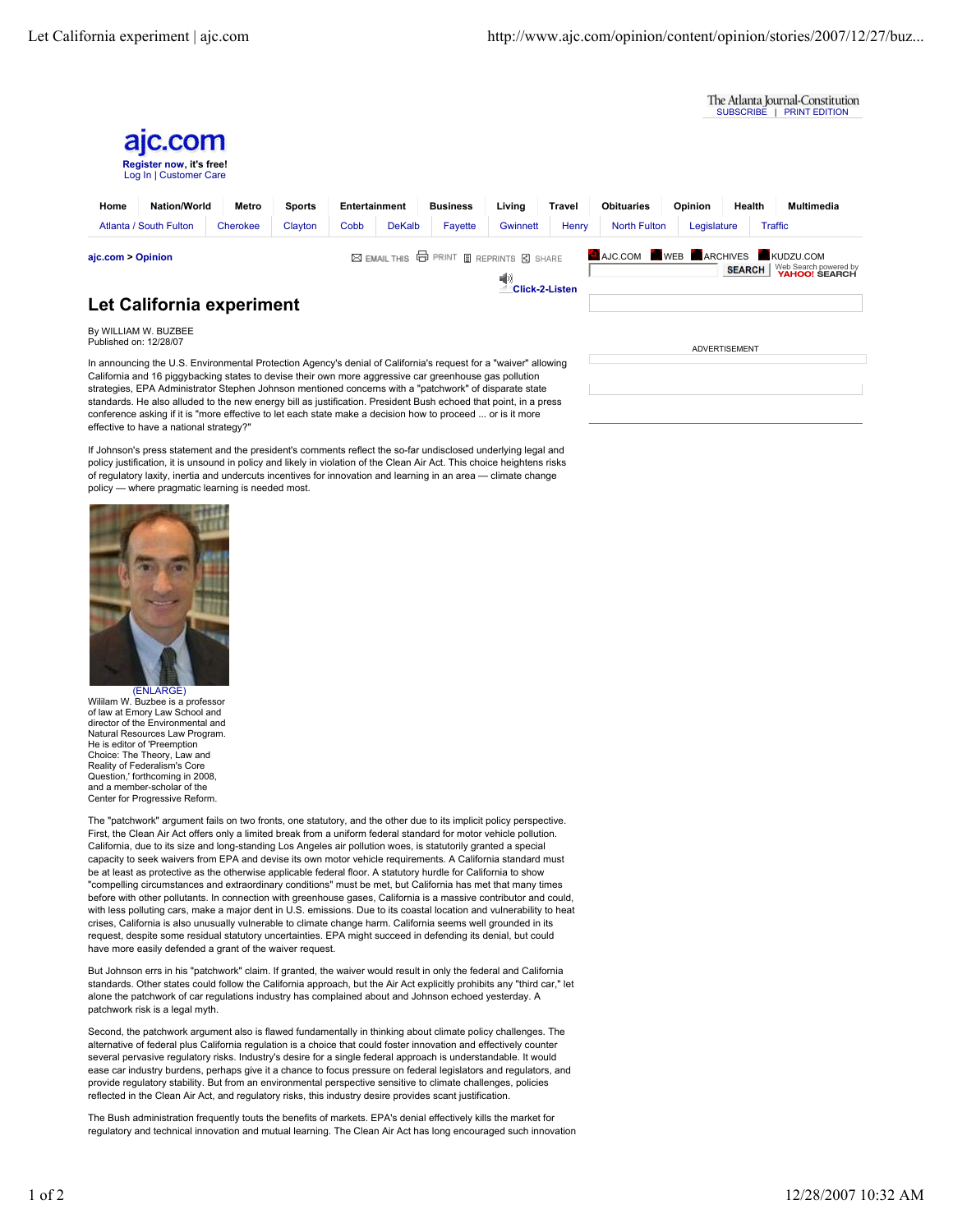

California and 16 piggybacking states to devise their own more aggressive car greenhouse gas pollution strategies, EPA Administrator Stephen Johnson mentioned concerns with a "patchwork" of disparate state standards. He also alluded to the new energy bill as justification. President Bush echoed that point, in a press conference asking if it is "more effective to let each state make a decision how to proceed ... or is it more effective to have a national strategy?

If Johnson's press statement and the president's comments reflect the so-far undisclosed underlying legal and policy justification, it is unsound in policy and likely in violation of the Clean Air Act. This choice heightens risks of regulatory laxity, inertia and undercuts incentives for innovation and learning in an area - climate change policy — where pragmatic learning is needed most.



Wililam W. Buzbee is a professor of law at Emory Law School and director of the Environmental and Natural Resources Law Program. He is editor of 'Preemption Choice: The Theory, Law and Reality of Federalism's Core Question,' forthcoming in 2008, and a member-scholar of the Center for Progressive Reform.

The "patchwork" argument fails on two fronts, one statutory, and the other due to its implicit policy perspective. First, the Clean Air Act offers only a limited break from a uniform federal standard for motor vehicle pollution. California, due to its size and long-standing Los Angeles air pollution woes, is statutorily granted a special capacity to seek waivers from EPA and devise its own motor vehicle requirements. A California standard must be at least as protective as the otherwise applicable federal floor. A statutory hurdle for California to show "compelling circumstances and extraordinary conditions" must be met, but California has met that many times before with other pollutants. In connection with greenhouse gases, California is a massive contributor and could, with less polluting cars, make a major dent in U.S. emissions. Due to its coastal location and vulnerability to heat crises, California is also unusually vulnerable to climate change harm. California seems well grounded in its request, despite some residual statutory uncertainties. EPA might succeed in defending its denial, but could have more easily defended a grant of the waiver request.

But Johnson errs in his "patchwork" claim. If granted, the waiver would result in only the federal and California standards. Other states could follow the California approach, but the Air Act explicitly prohibits any "third car," let alone the patchwork of car regulations industry has complained about and Johnson echoed yesterday. A patchwork risk is a legal myth.

Second, the patchwork argument also is flawed fundamentally in thinking about climate policy challenges. The alternative of federal plus California regulation is a choice that could foster innovation and effectively counter several pervasive regulatory risks. Industry's desire for a single federal approach is understandable. It would ease car industry burdens, perhaps give it a chance to focus pressure on federal legislators and regulators, and provide regulatory stability. But from an environmental perspective sensitive to climate challenges, policies reflected in the Clean Air Act, and regulatory risks, this industry desire provides scant justification.

The Bush administration frequently touts the benefits of markets. EPA's denial effectively kills the market for regulatory and technical innovation and mutual learning. The Clean Air Act has long encouraged such innovation